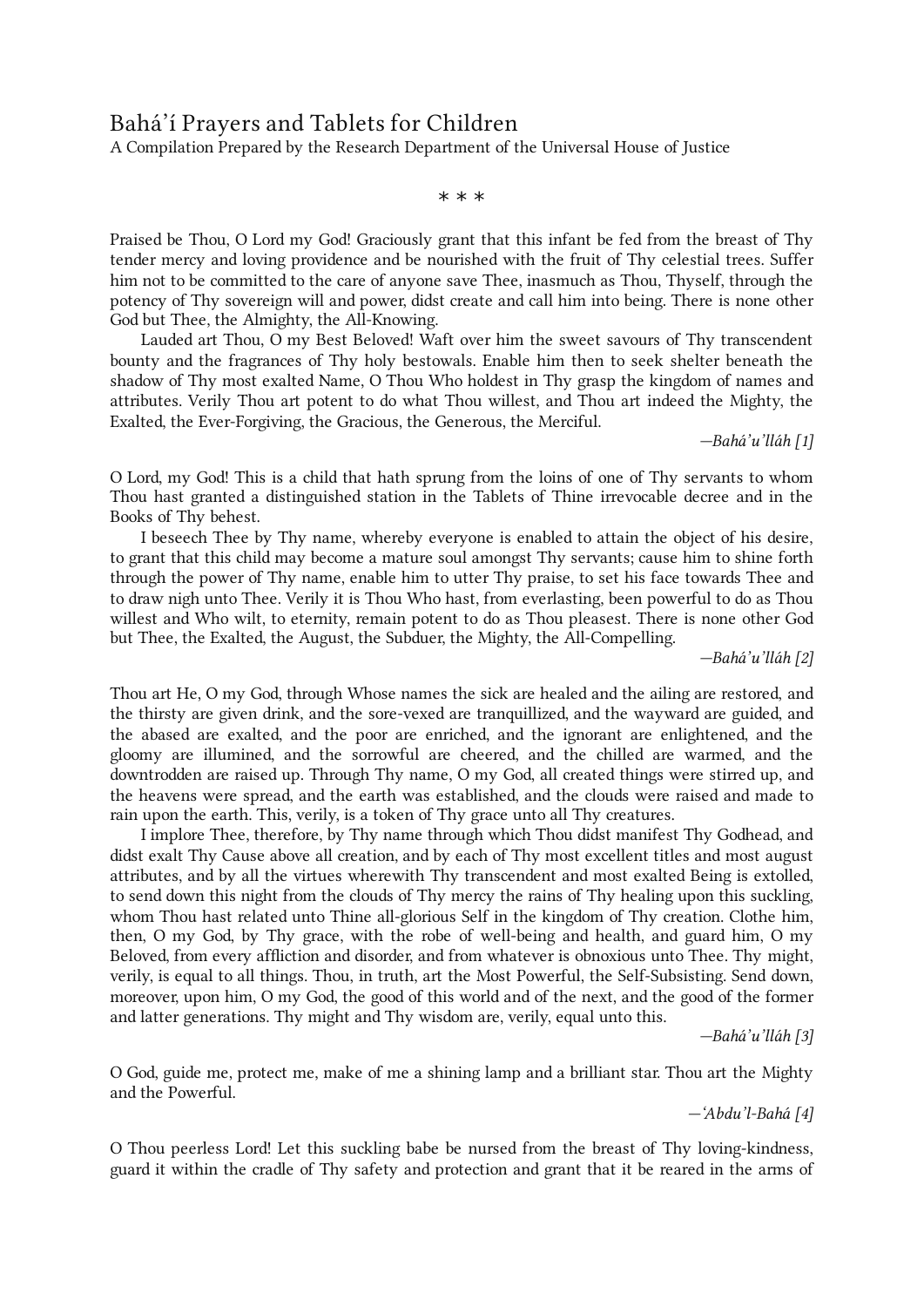# Bahá'í Prayers and Tablets for Children

A Compilation Prepared by the Research Department of the Universal House of Justice

\* \* \*

Praised be Thou, O Lord my God! Graciously grant that this infant be fed from the breast of Thy tender mercy and loving providence and be nourished with the fruit of Thy celestial trees. Suffer him not to be committed to the care of anyone save Thee, inasmuch as Thou, Thyself, through the potency of Thy sovereign will and power, didst create and call him into being. There is none other God but Thee, the Almighty, the All-Knowing.

Lauded art Thou, O my Best Beloved! Waft over him the sweet savours of Thy transcendent bounty and the fragrances of Thy holy bestowals. Enable him then to seek shelter beneath the shadow of Thy most exalted Name, O Thou Who holdest in Thy grasp the kingdom of names and attributes. Verily Thou art potent to do what Thou willest, and Thou art indeed the Mighty, the Exalted, the Ever-Forgiving, the Gracious, the Generous, the Merciful.

—Bahá'u'lláh [1]

O Lord, my God! This is a child that hath sprung from the loins of one of Thy servants to whom Thou hast granted a distinguished station in the Tablets of Thine irrevocable decree and in the Books of Thy behest.

I beseech Thee by Thy name, whereby everyone is enabled to attain the object of his desire, to grant that this child may become a mature soul amongst Thy servants; cause him to shine forth through the power of Thy name, enable him to utter Thy praise, to set his face towards Thee and to draw nigh unto Thee. Verily it is Thou Who hast, from everlasting, been powerful to do as Thou willest and Who wilt, to eternity, remain potent to do as Thou pleasest. There is none other God but Thee, the Exalted, the August, the Subduer, the Mighty, the All-Compelling.

—Bahá'u'lláh [2]

Thou art He, O my God, through Whose names the sick are healed and the ailing are restored, and the thirsty are given drink, and the sore-vexed are tranquillized, and the wayward are guided, and the abased are exalted, and the poor are enriched, and the ignorant are enlightened, and the gloomy are illumined, and the sorrowful are cheered, and the chilled are warmed, and the downtrodden are raised up. Through Thy name, O my God, all created things were stirred up, and the heavens were spread, and the earth was established, and the clouds were raised and made to rain upon the earth. This, verily, is a token of Thy grace unto all Thy creatures.

I implore Thee, therefore, by Thy name through which Thou didst manifest Thy Godhead, and didst exalt Thy Cause above all creation, and by each of Thy most excellent titles and most august attributes, and by all the virtues wherewith Thy transcendent and most exalted Being is extolled, to send down this night from the clouds of Thy mercy the rains of Thy healing upon this suckling, whom Thou hast related unto Thine all-glorious Self in the kingdom of Thy creation. Clothe him, then, O my God, by Thy grace, with the robe of well-being and health, and guard him, O my Beloved, from every affliction and disorder, and from whatever is obnoxious unto Thee. Thy might, verily, is equal to all things. Thou, in truth, art the Most Powerful, the Self-Subsisting. Send down, moreover, upon him, O my God, the good of this world and of the next, and the good of the former and latter generations. Thy might and Thy wisdom are, verily, equal unto this.

—Bahá'u'lláh [3]

O God, guide me, protect me, make of me a shining lamp and a brilliant star. Thou art the Mighty and the Powerful.

—'Abdu'l‑Bahá [4]

O Thou peerless Lord! Let this suckling babe be nursed from the breast of Thy loving-kindness, guard it within the cradle of Thy safety and protection and grant that it be reared in the arms of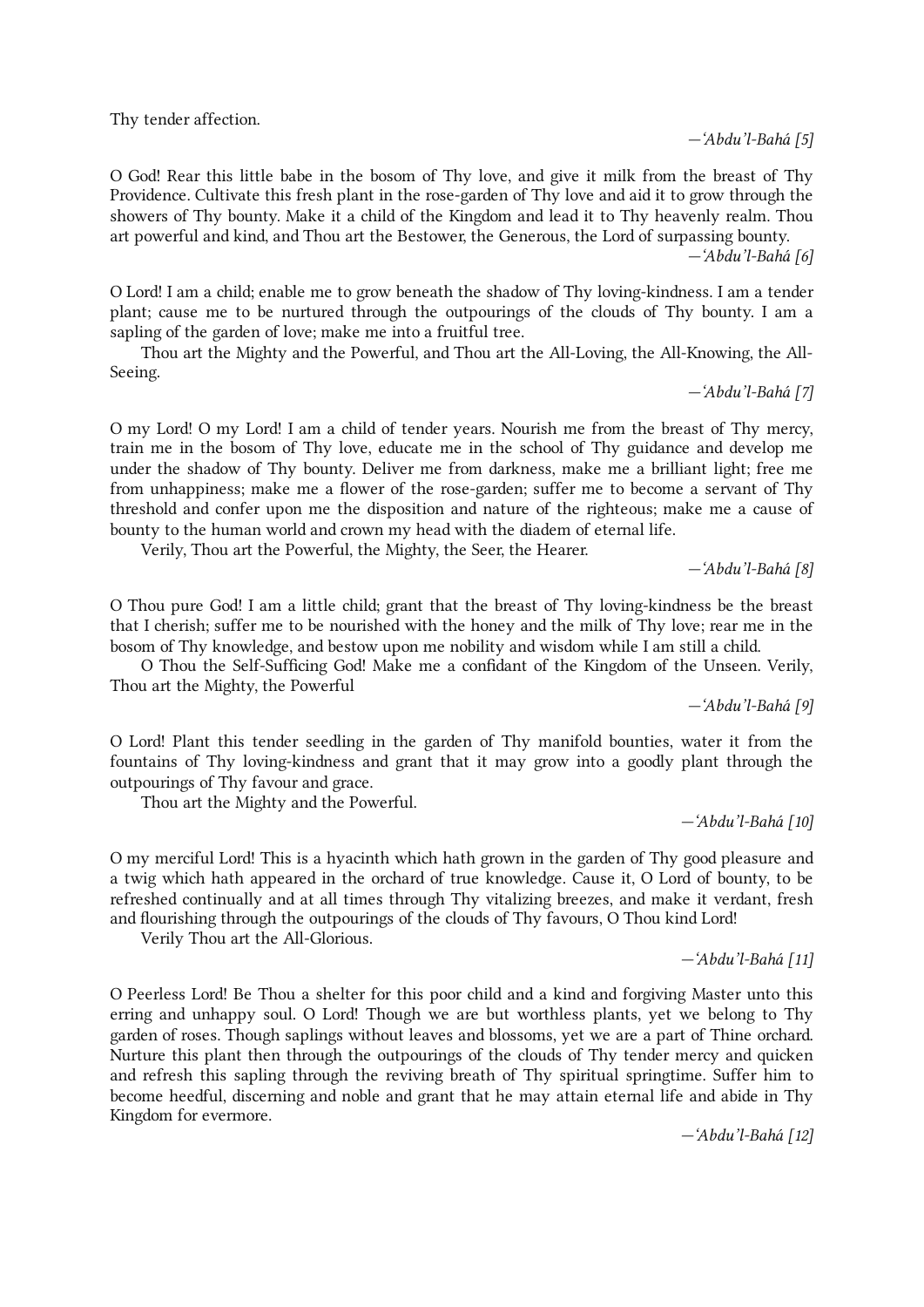Thy tender affection.

—'Abdu'l‑Bahá [5]

O God! Rear this little babe in the bosom of Thy love, and give it milk from the breast of Thy Providence. Cultivate this fresh plant in the rose-garden of Thy love and aid it to grow through the showers of Thy bounty. Make it a child of the Kingdom and lead it to Thy heavenly realm. Thou art powerful and kind, and Thou art the Bestower, the Generous, the Lord of surpassing bounty.

—'Abdu'l‑Bahá [6]

O Lord! I am a child; enable me to grow beneath the shadow of Thy loving-kindness. I am a tender plant; cause me to be nurtured through the outpourings of the clouds of Thy bounty. I am a sapling of the garden of love; make me into a fruitful tree.

Thou art the Mighty and the Powerful, and Thou art the All-Loving, the All-Knowing, the All-Seeing.

—'Abdu'l‑Bahá [7]

O my Lord! O my Lord! I am a child of tender years. Nourish me from the breast of Thy mercy, train me in the bosom of Thy love, educate me in the school of Thy guidance and develop me under the shadow of Thy bounty. Deliver me from darkness, make me a brilliant light; free me from unhappiness; make me a flower of the rose-garden; suffer me to become a servant of Thy threshold and confer upon me the disposition and nature of the righteous; make me a cause of bounty to the human world and crown my head with the diadem of eternal life.

Verily, Thou art the Powerful, the Mighty, the Seer, the Hearer.

—'Abdu'l‑Bahá [8]

O Thou pure God! I am a little child; grant that the breast of Thy loving-kindness be the breast that I cherish; suffer me to be nourished with the honey and the milk of Thy love; rear me in the bosom of Thy knowledge, and bestow upon me nobility and wisdom while I am still a child.

O Thou the Self-Sufficing God! Make me a confidant of the Kingdom of the Unseen. Verily, Thou art the Mighty, the Powerful

—'Abdu'l‑Bahá [9]

O Lord! Plant this tender seedling in the garden of Thy manifold bounties, water it from the fountains of Thy loving-kindness and grant that it may grow into a goodly plant through the outpourings of Thy favour and grace.

Thou art the Mighty and the Powerful.

—'Abdu'l‑Bahá [10]

O my merciful Lord! This is a hyacinth which hath grown in the garden of Thy good pleasure and a twig which hath appeared in the orchard of true knowledge. Cause it, O Lord of bounty, to be refreshed continually and at all times through Thy vitalizing breezes, and make it verdant, fresh and flourishing through the outpourings of the clouds of Thy favours, O Thou kind Lord!

Verily Thou art the All-Glorious.

—'Abdu'l‑Bahá [11]

O Peerless Lord! Be Thou a shelter for this poor child and a kind and forgiving Master unto this erring and unhappy soul. O Lord! Though we are but worthless plants, yet we belong to Thy garden of roses. Though saplings without leaves and blossoms, yet we are a part of Thine orchard. Nurture this plant then through the outpourings of the clouds of Thy tender mercy and quicken and refresh this sapling through the reviving breath of Thy spiritual springtime. Suffer him to become heedful, discerning and noble and grant that he may attain eternal life and abide in Thy Kingdom for evermore.

—'Abdu'l‑Bahá [12]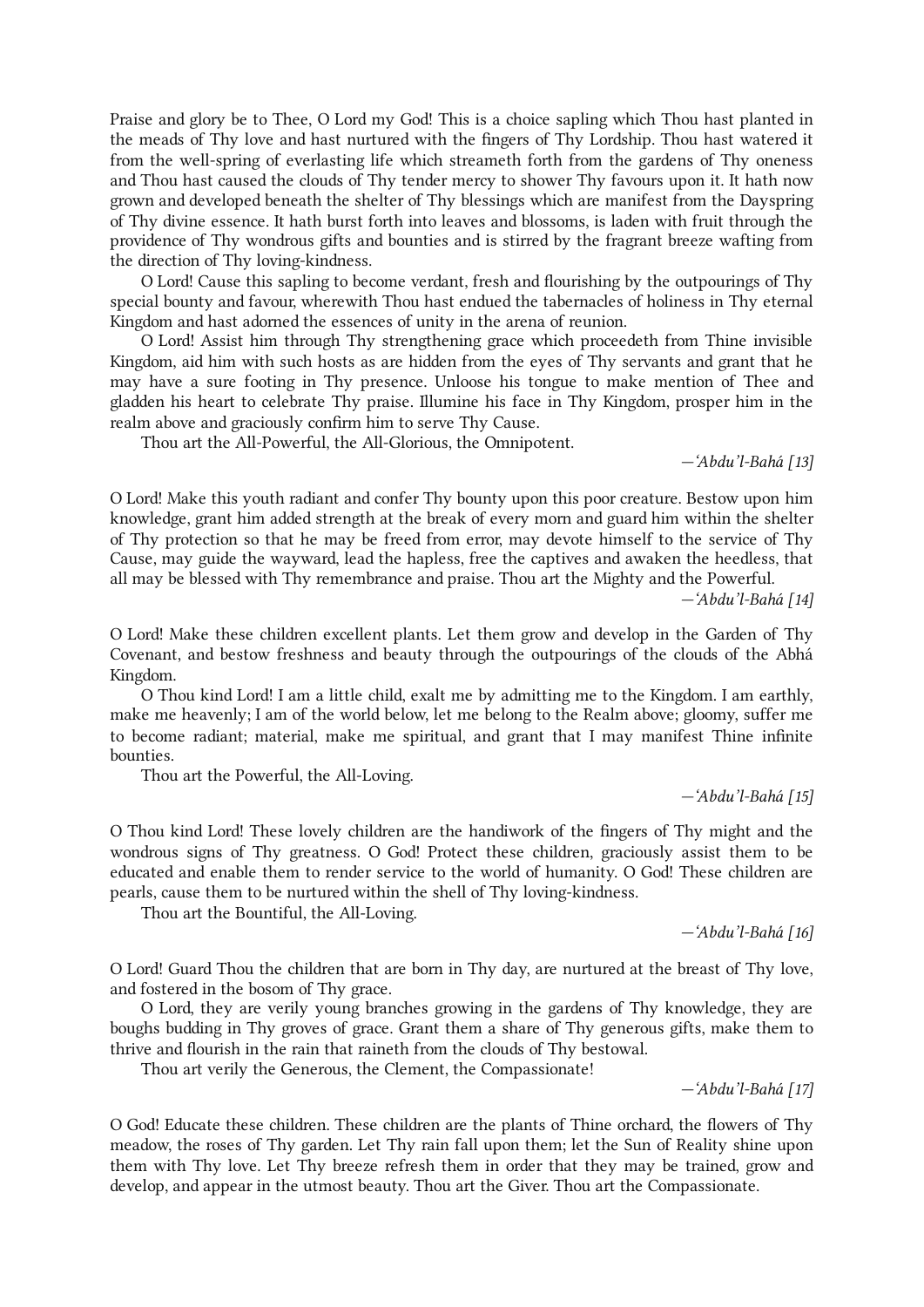Praise and glory be to Thee, O Lord my God! This is a choice sapling which Thou hast planted in the meads of Thy love and hast nurtured with the fingers of Thy Lordship. Thou hast watered it from the well-spring of everlasting life which streameth forth from the gardens of Thy oneness and Thou hast caused the clouds of Thy tender mercy to shower Thy favours upon it. It hath now grown and developed beneath the shelter of Thy blessings which are manifest from the Dayspring of Thy divine essence. It hath burst forth into leaves and blossoms, is laden with fruit through the providence of Thy wondrous gifts and bounties and is stirred by the fragrant breeze wafting from the direction of Thy loving-kindness.

O Lord! Cause this sapling to become verdant, fresh and flourishing by the outpourings of Thy special bounty and favour, wherewith Thou hast endued the tabernacles of holiness in Thy eternal Kingdom and hast adorned the essences of unity in the arena of reunion.

O Lord! Assist him through Thy strengthening grace which proceedeth from Thine invisible Kingdom, aid him with such hosts as are hidden from the eyes of Thy servants and grant that he may have a sure footing in Thy presence. Unloose his tongue to make mention of Thee and gladden his heart to celebrate Thy praise. Illumine his face in Thy Kingdom, prosper him in the realm above and graciously confirm him to serve Thy Cause.

Thou art the All-Powerful, the All-Glorious, the Omnipotent.

—'Abdu'l‑Bahá [13]

O Lord! Make this youth radiant and confer Thy bounty upon this poor creature. Bestow upon him knowledge, grant him added strength at the break of every morn and guard him within the shelter of Thy protection so that he may be freed from error, may devote himself to the service of Thy Cause, may guide the wayward, lead the hapless, free the captives and awaken the heedless, that all may be blessed with Thy remembrance and praise. Thou art the Mighty and the Powerful.

—'Abdu'l‑Bahá [14]

O Lord! Make these children excellent plants. Let them grow and develop in the Garden of Thy Covenant, and bestow freshness and beauty through the outpourings of the clouds of the Abhá Kingdom.

O Thou kind Lord! I am a little child, exalt me by admitting me to the Kingdom. I am earthly, make me heavenly; I am of the world below, let me belong to the Realm above; gloomy, suffer me to become radiant; material, make me spiritual, and grant that I may manifest Thine infinite bounties.

Thou art the Powerful, the All-Loving.

—'Abdu'l‑Bahá [15]

O Thou kind Lord! These lovely children are the handiwork of the fingers of Thy might and the wondrous signs of Thy greatness. O God! Protect these children, graciously assist them to be educated and enable them to render service to the world of humanity. O God! These children are pearls, cause them to be nurtured within the shell of Thy loving-kindness.

Thou art the Bountiful, the All-Loving.

—'Abdu'l‑Bahá [16]

O Lord! Guard Thou the children that are born in Thy day, are nurtured at the breast of Thy love, and fostered in the bosom of Thy grace.

O Lord, they are verily young branches growing in the gardens of Thy knowledge, they are boughs budding in Thy groves of grace. Grant them a share of Thy generous gifts, make them to thrive and flourish in the rain that raineth from the clouds of Thy bestowal.

Thou art verily the Generous, the Clement, the Compassionate!

—'Abdu'l‑Bahá [17]

O God! Educate these children. These children are the plants of Thine orchard, the flowers of Thy meadow, the roses of Thy garden. Let Thy rain fall upon them; let the Sun of Reality shine upon them with Thy love. Let Thy breeze refresh them in order that they may be trained, grow and develop, and appear in the utmost beauty. Thou art the Giver. Thou art the Compassionate.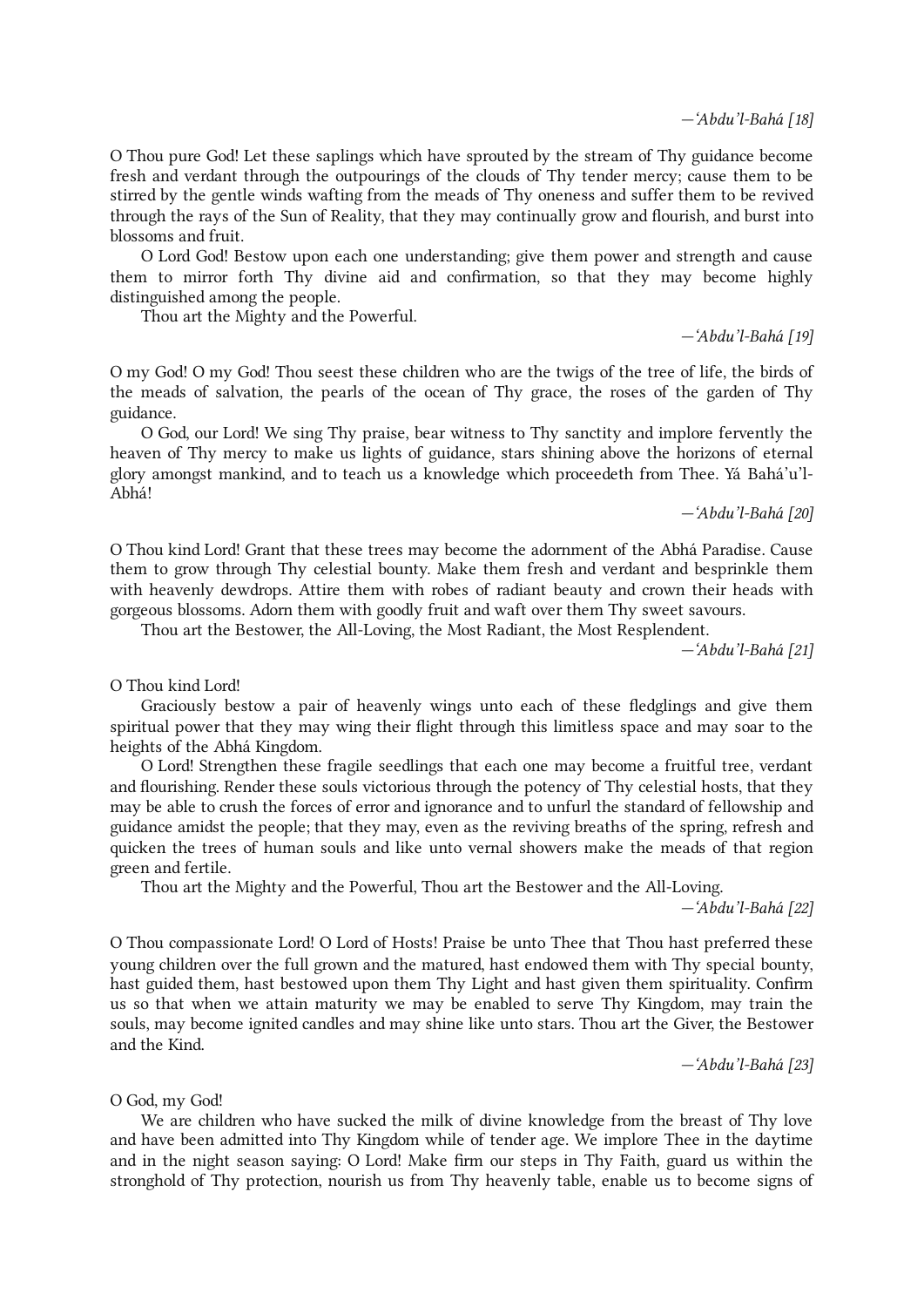—'Abdu'l‑Bahá [18]

O Thou pure God! Let these saplings which have sprouted by the stream of Thy guidance become fresh and verdant through the outpourings of the clouds of Thy tender mercy; cause them to be stirred by the gentle winds wafting from the meads of Thy oneness and suffer them to be revived through the rays of the Sun of Reality, that they may continually grow and flourish, and burst into blossoms and fruit.

O Lord God! Bestow upon each one understanding; give them power and strength and cause them to mirror forth Thy divine aid and confirmation, so that they may become highly distinguished among the people.

Thou art the Mighty and the Powerful.

—'Abdu'l‑Bahá [19]

O my God! O my God! Thou seest these children who are the twigs of the tree of life, the birds of the meads of salvation, the pearls of the ocean of Thy grace, the roses of the garden of Thy guidance.

O God, our Lord! We sing Thy praise, bear witness to Thy sanctity and implore fervently the heaven of Thy mercy to make us lights of guidance, stars shining above the horizons of eternal glory amongst mankind, and to teach us a knowledge which proceedeth from Thee. Yá Bahá'u'l-Abhá!

—'Abdu'l‑Bahá [20]

O Thou kind Lord! Grant that these trees may become the adornment of the Abhá Paradise. Cause them to grow through Thy celestial bounty. Make them fresh and verdant and besprinkle them with heavenly dewdrops. Attire them with robes of radiant beauty and crown their heads with gorgeous blossoms. Adorn them with goodly fruit and waft over them Thy sweet savours.

Thou art the Bestower, the All-Loving, the Most Radiant, the Most Resplendent.

—'Abdu'l‑Bahá [21]

O Thou kind Lord!

Graciously bestow a pair of heavenly wings unto each of these fledglings and give them spiritual power that they may wing their flight through this limitless space and may soar to the heights of the Abhá Kingdom.

O Lord! Strengthen these fragile seedlings that each one may become a fruitful tree, verdant and flourishing. Render these souls victorious through the potency of Thy celestial hosts, that they may be able to crush the forces of error and ignorance and to unfurl the standard of fellowship and guidance amidst the people; that they may, even as the reviving breaths of the spring, refresh and quicken the trees of human souls and like unto vernal showers make the meads of that region green and fertile.

Thou art the Mighty and the Powerful, Thou art the Bestower and the All-Loving.

—'Abdu'l‑Bahá [22]

O Thou compassionate Lord! O Lord of Hosts! Praise be unto Thee that Thou hast preferred these young children over the full grown and the matured, hast endowed them with Thy special bounty, hast guided them, hast bestowed upon them Thy Light and hast given them spirituality. Confirm us so that when we attain maturity we may be enabled to serve Thy Kingdom, may train the souls, may become ignited candles and may shine like unto stars. Thou art the Giver, the Bestower and the Kind.

—'Abdu'l‑Bahá [23]

O God, my God!

We are children who have sucked the milk of divine knowledge from the breast of Thy love and have been admitted into Thy Kingdom while of tender age. We implore Thee in the daytime and in the night season saying: O Lord! Make firm our steps in Thy Faith, guard us within the stronghold of Thy protection, nourish us from Thy heavenly table, enable us to become signs of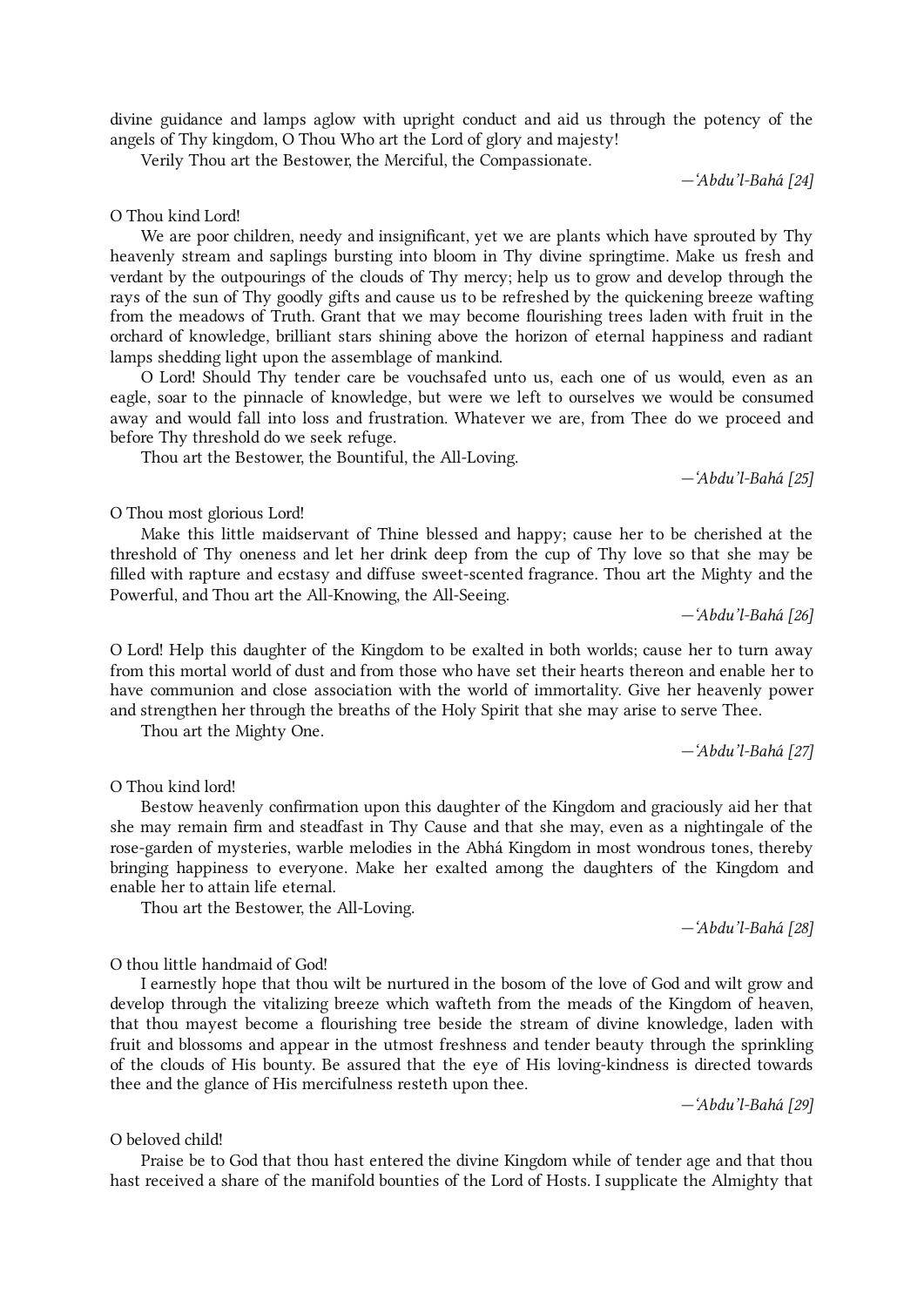divine guidance and lamps aglow with upright conduct and aid us through the potency of the angels of Thy kingdom, O Thou Who art the Lord of glory and majesty!

Verily Thou art the Bestower, the Merciful, the Compassionate.

—'Abdu'l‑Bahá [24]

O Thou kind Lord!

We are poor children, needy and insignificant, yet we are plants which have sprouted by Thy heavenly stream and saplings bursting into bloom in Thy divine springtime. Make us fresh and verdant by the outpourings of the clouds of Thy mercy; help us to grow and develop through the rays of the sun of Thy goodly gifts and cause us to be refreshed by the quickening breeze wafting from the meadows of Truth. Grant that we may become flourishing trees laden with fruit in the orchard of knowledge, brilliant stars shining above the horizon of eternal happiness and radiant lamps shedding light upon the assemblage of mankind.

O Lord! Should Thy tender care be vouchsafed unto us, each one of us would, even as an eagle, soar to the pinnacle of knowledge, but were we left to ourselves we would be consumed away and would fall into loss and frustration. Whatever we are, from Thee do we proceed and before Thy threshold do we seek refuge.

Thou art the Bestower, the Bountiful, the All-Loving.

### O Thou most glorious Lord!

Make this little maidservant of Thine blessed and happy; cause her to be cherished at the threshold of Thy oneness and let her drink deep from the cup of Thy love so that she may be filled with rapture and ecstasy and diffuse sweet-scented fragrance. Thou art the Mighty and the Powerful, and Thou art the All-Knowing, the All-Seeing.

—'Abdu'l‑Bahá [26]

O Lord! Help this daughter of the Kingdom to be exalted in both worlds; cause her to turn away from this mortal world of dust and from those who have set their hearts thereon and enable her to have communion and close association with the world of immortality. Give her heavenly power and strengthen her through the breaths of the Holy Spirit that she may arise to serve Thee.

Thou art the Mighty One.

—'Abdu'l‑Bahá [27]

### O Thou kind lord!

Bestow heavenly confirmation upon this daughter of the Kingdom and graciously aid her that she may remain firm and steadfast in Thy Cause and that she may, even as a nightingale of the rose-garden of mysteries, warble melodies in the Abhá Kingdom in most wondrous tones, thereby bringing happiness to everyone. Make her exalted among the daughters of the Kingdom and enable her to attain life eternal.

Thou art the Bestower, the All-Loving.

—'Abdu'l‑Bahá [28]

## O thou little handmaid of God!

I earnestly hope that thou wilt be nurtured in the bosom of the love of God and wilt grow and develop through the vitalizing breeze which wafteth from the meads of the Kingdom of heaven, that thou mayest become a flourishing tree beside the stream of divine knowledge, laden with fruit and blossoms and appear in the utmost freshness and tender beauty through the sprinkling of the clouds of His bounty. Be assured that the eye of His loving-kindness is directed towards thee and the glance of His mercifulness resteth upon thee.

—'Abdu'l‑Bahá [29]

#### O beloved child!

Praise be to God that thou hast entered the divine Kingdom while of tender age and that thou hast received a share of the manifold bounties of the Lord of Hosts. I supplicate the Almighty that

 $-\hat{A}bdu'$ l-Bahá [25]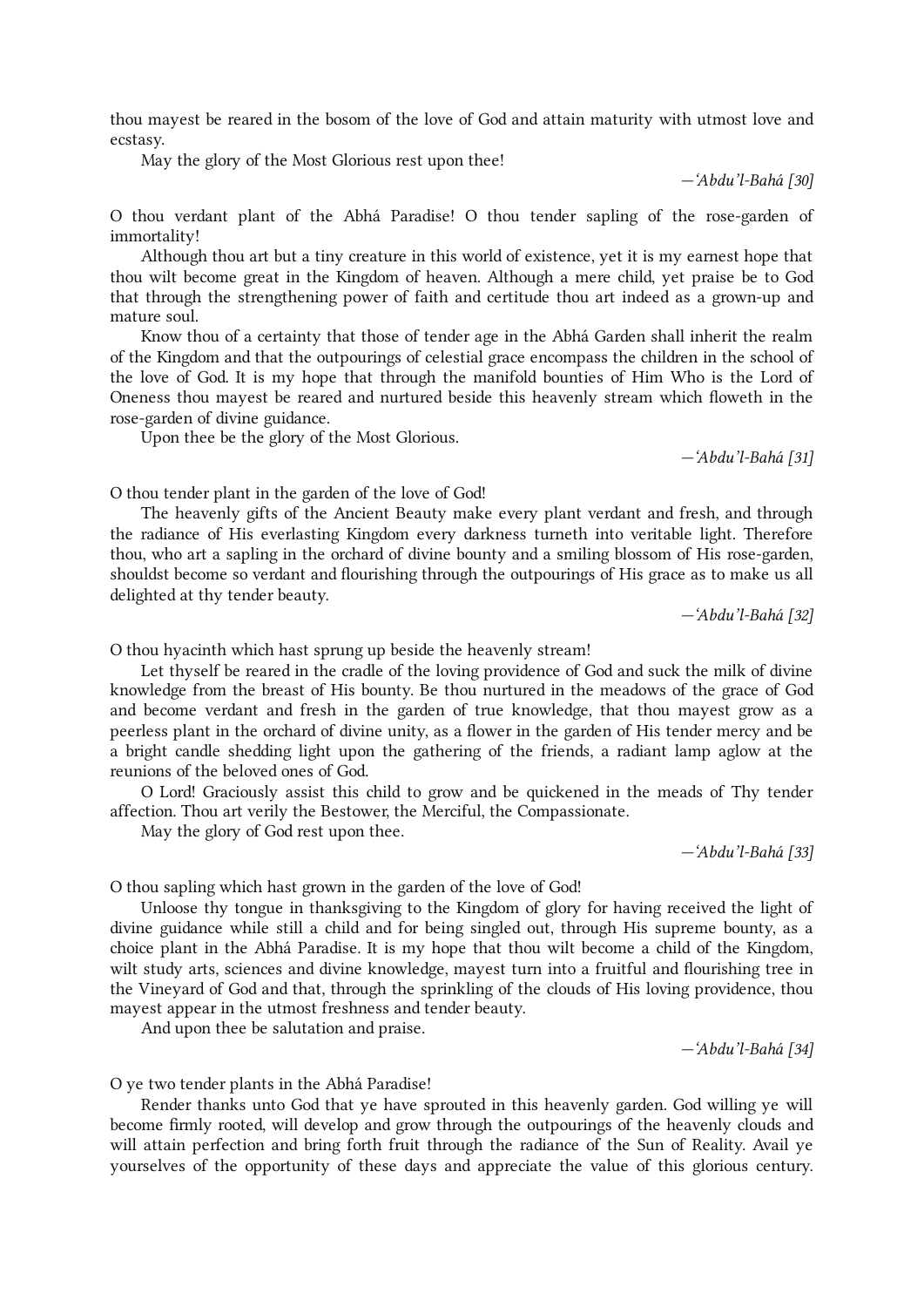thou mayest be reared in the bosom of the love of God and attain maturity with utmost love and ecstasy.

May the glory of the Most Glorious rest upon thee!

—'Abdu'l‑Bahá [30]

O thou verdant plant of the Abhá Paradise! O thou tender sapling of the rose-garden of immortality!

Although thou art but a tiny creature in this world of existence, yet it is my earnest hope that thou wilt become great in the Kingdom of heaven. Although a mere child, yet praise be to God that through the strengthening power of faith and certitude thou art indeed as a grown-up and mature soul.

Know thou of a certainty that those of tender age in the Abhá Garden shall inherit the realm of the Kingdom and that the outpourings of celestial grace encompass the children in the school of the love of God. It is my hope that through the manifold bounties of Him Who is the Lord of Oneness thou mayest be reared and nurtured beside this heavenly stream which floweth in the rose-garden of divine guidance.

Upon thee be the glory of the Most Glorious.

—'Abdu'l‑Bahá [31]

O thou tender plant in the garden of the love of God!

The heavenly gifts of the Ancient Beauty make every plant verdant and fresh, and through the radiance of His everlasting Kingdom every darkness turneth into veritable light. Therefore thou, who art a sapling in the orchard of divine bounty and a smiling blossom of His rose-garden, shouldst become so verdant and flourishing through the outpourings of His grace as to make us all delighted at thy tender beauty.

—'Abdu'l‑Bahá [32]

O thou hyacinth which hast sprung up beside the heavenly stream!

Let thyself be reared in the cradle of the loving providence of God and suck the milk of divine knowledge from the breast of His bounty. Be thou nurtured in the meadows of the grace of God and become verdant and fresh in the garden of true knowledge, that thou mayest grow as a peerless plant in the orchard of divine unity, as a flower in the garden of His tender mercy and be a bright candle shedding light upon the gathering of the friends, a radiant lamp aglow at the reunions of the beloved ones of God.

O Lord! Graciously assist this child to grow and be quickened in the meads of Thy tender affection. Thou art verily the Bestower, the Merciful, the Compassionate.

May the glory of God rest upon thee.

 $-\hat{A}bdu'$ l-Bahá [33]

O thou sapling which hast grown in the garden of the love of God!

Unloose thy tongue in thanksgiving to the Kingdom of glory for having received the light of divine guidance while still a child and for being singled out, through His supreme bounty, as a choice plant in the Abhá Paradise. It is my hope that thou wilt become a child of the Kingdom, wilt study arts, sciences and divine knowledge, mayest turn into a fruitful and flourishing tree in the Vineyard of God and that, through the sprinkling of the clouds of His loving providence, thou mayest appear in the utmost freshness and tender beauty.

And upon thee be salutation and praise.

—'Abdu'l‑Bahá [34]

O ye two tender plants in the Abhá Paradise!

Render thanks unto God that ye have sprouted in this heavenly garden. God willing ye will become firmly rooted, will develop and grow through the outpourings of the heavenly clouds and will attain perfection and bring forth fruit through the radiance of the Sun of Reality. Avail ye yourselves of the opportunity of these days and appreciate the value of this glorious century.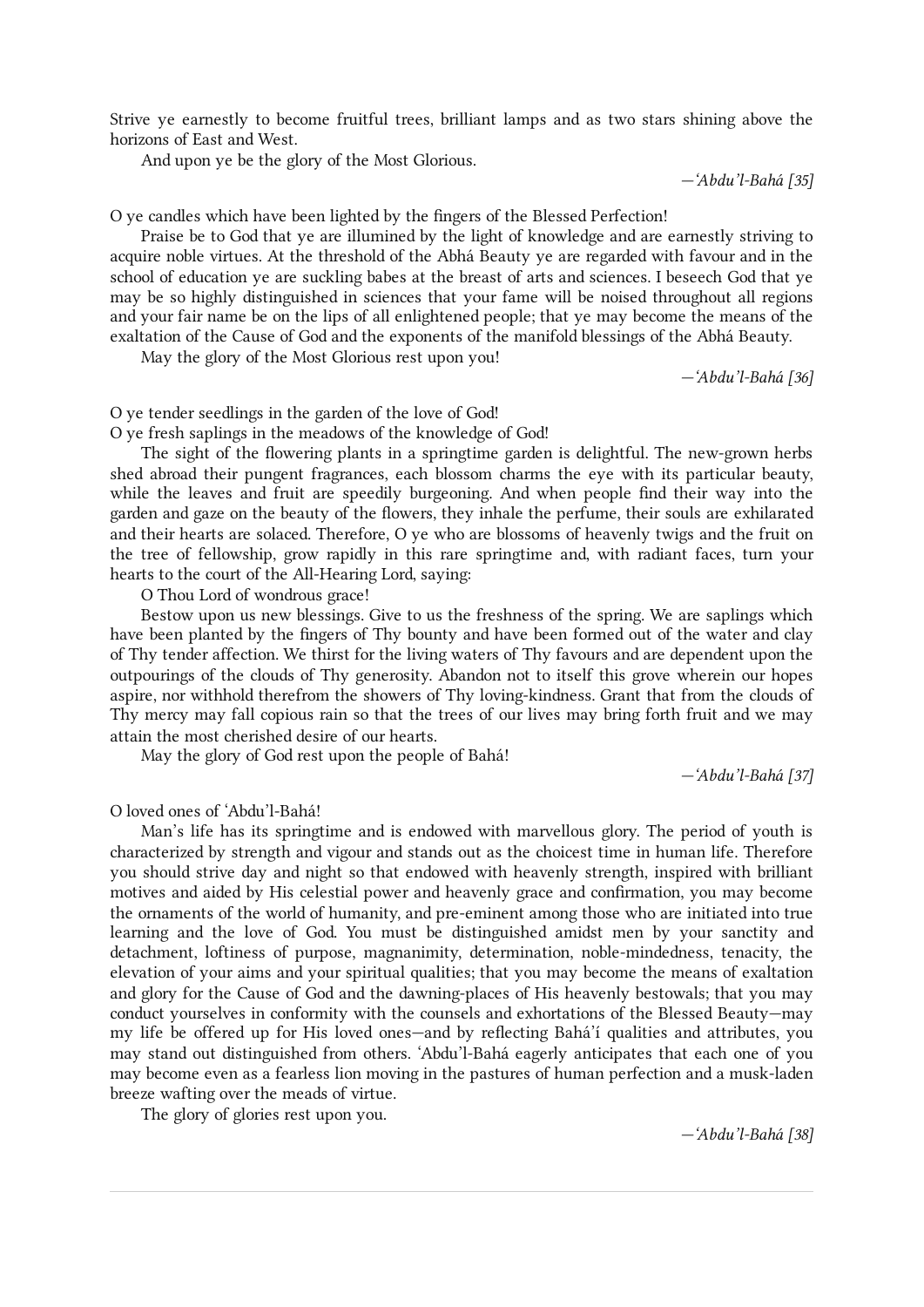Strive ye earnestly to become fruitful trees, brilliant lamps and as two stars shining above the horizons of East and West.

And upon ye be the glory of the Most Glorious.

 $-\hat{A}bdu'$ l-Bahá [35]

O ye candles which have been lighted by the fingers of the Blessed Perfection!

Praise be to God that ye are illumined by the light of knowledge and are earnestly striving to acquire noble virtues. At the threshold of the Abhá Beauty ye are regarded with favour and in the school of education ye are suckling babes at the breast of arts and sciences. I beseech God that ye may be so highly distinguished in sciences that your fame will be noised throughout all regions and your fair name be on the lips of all enlightened people; that ye may become the means of the exaltation of the Cause of God and the exponents of the manifold blessings of the Abhá Beauty.

May the glory of the Most Glorious rest upon you!

 $-\hat{A}bdu'$ l-Bahá [36]

O ye tender seedlings in the garden of the love of God!

O ye fresh saplings in the meadows of the knowledge of God!

The sight of the flowering plants in a springtime garden is delightful. The new-grown herbs shed abroad their pungent fragrances, each blossom charms the eye with its particular beauty, while the leaves and fruit are speedily burgeoning. And when people find their way into the garden and gaze on the beauty of the flowers, they inhale the perfume, their souls are exhilarated and their hearts are solaced. Therefore, O ye who are blossoms of heavenly twigs and the fruit on the tree of fellowship, grow rapidly in this rare springtime and, with radiant faces, turn your hearts to the court of the All-Hearing Lord, saying:

O Thou Lord of wondrous grace!

Bestow upon us new blessings. Give to us the freshness of the spring. We are saplings which have been planted by the fingers of Thy bounty and have been formed out of the water and clay of Thy tender affection. We thirst for the living waters of Thy favours and are dependent upon the outpourings of the clouds of Thy generosity. Abandon not to itself this grove wherein our hopes aspire, nor withhold therefrom the showers of Thy loving-kindness. Grant that from the clouds of Thy mercy may fall copious rain so that the trees of our lives may bring forth fruit and we may attain the most cherished desire of our hearts.

May the glory of God rest upon the people of Bahá!

—'Abdu'l‑Bahá [37]

O loved ones of 'Abdu'l‑Bahá!

Man's life has its springtime and is endowed with marvellous glory. The period of youth is characterized by strength and vigour and stands out as the choicest time in human life. Therefore you should strive day and night so that endowed with heavenly strength, inspired with brilliant motives and aided by His celestial power and heavenly grace and confirmation, you may become the ornaments of the world of humanity, and pre-eminent among those who are initiated into true learning and the love of God. You must be distinguished amidst men by your sanctity and detachment, loftiness of purpose, magnanimity, determination, noble-mindedness, tenacity, the elevation of your aims and your spiritual qualities; that you may become the means of exaltation and glory for the Cause of God and the dawning-places of His heavenly bestowals; that you may conduct yourselves in conformity with the counsels and exhortations of the Blessed Beauty—may my life be offered up for His loved ones—and by reflecting Bahá'í qualities and attributes, you may stand out distinguished from others. 'Abdu'l-Bahá eagerly anticipates that each one of you may become even as a fearless lion moving in the pastures of human perfection and a musk-laden breeze wafting over the meads of virtue.

The glory of glories rest upon you.

—'Abdu'l‑Bahá [38]